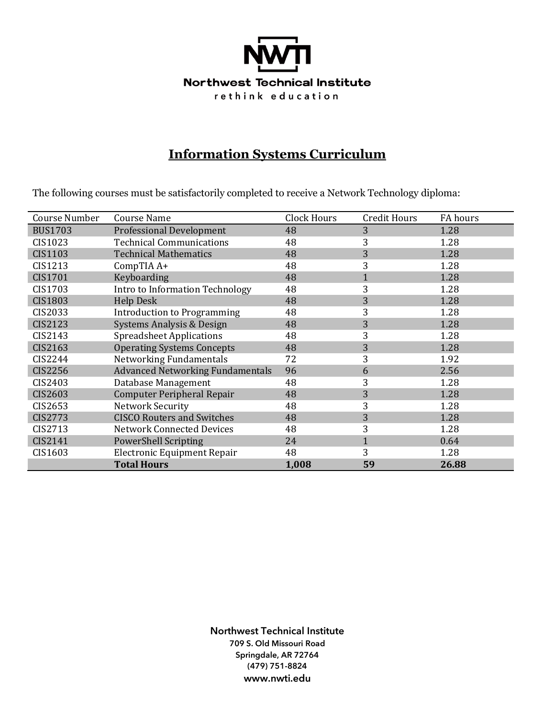

# **Information Systems Curriculum**

The following courses must be satisfactorily completed to receive a Network Technology diploma:

| Course Number  | <b>Course Name</b>                      | <b>Clock Hours</b> | <b>Credit Hours</b> | FA hours |
|----------------|-----------------------------------------|--------------------|---------------------|----------|
| <b>BUS1703</b> | <b>Professional Development</b>         | 48                 | 3                   | 1.28     |
| CIS1023        | <b>Technical Communications</b>         | 48                 | 3                   | 1.28     |
| CIS1103        | <b>Technical Mathematics</b>            | 48                 | 3                   | 1.28     |
| CIS1213        | CompTIA A+                              | 48                 | 3                   | 1.28     |
| CIS1701        | Keyboarding                             | 48                 |                     | 1.28     |
| CIS1703        | Intro to Information Technology         | 48                 | 3                   | 1.28     |
| <b>CIS1803</b> | <b>Help Desk</b>                        | 48                 | 3                   | 1.28     |
| CIS2033        | <b>Introduction to Programming</b>      | 48                 | 3                   | 1.28     |
| CIS2123        | Systems Analysis & Design               | 48                 | 3                   | 1.28     |
| CIS2143        | <b>Spreadsheet Applications</b>         | 48                 | 3                   | 1.28     |
| CIS2163        | <b>Operating Systems Concepts</b>       | 48                 | 3                   | 1.28     |
| CIS2244        | Networking Fundamentals                 | 72                 | 3                   | 1.92     |
| CIS2256        | <b>Advanced Networking Fundamentals</b> | 96                 | 6                   | 2.56     |
| CIS2403        | Database Management                     | 48                 | 3                   | 1.28     |
| CIS2603        | <b>Computer Peripheral Repair</b>       | 48                 | 3                   | 1.28     |
| CIS2653        | Network Security                        | 48                 | 3                   | 1.28     |
| <b>CIS2773</b> | <b>CISCO Routers and Switches</b>       | 48                 | 3                   | 1.28     |
| CIS2713        | <b>Network Connected Devices</b>        | 48                 | 3                   | 1.28     |
| CIS2141        | <b>PowerShell Scripting</b>             | 24                 | $\mathbf{1}$        | 0.64     |
| CIS1603        | Electronic Equipment Repair             | 48                 | 3                   | 1.28     |
|                | <b>Total Hours</b>                      | 1,008              | 59                  | 26.88    |

**Northwest Technical Institute 709 S. Old Missouri Road Springdale, AR 72764 (479) 751-8824 www.nwti.edu**